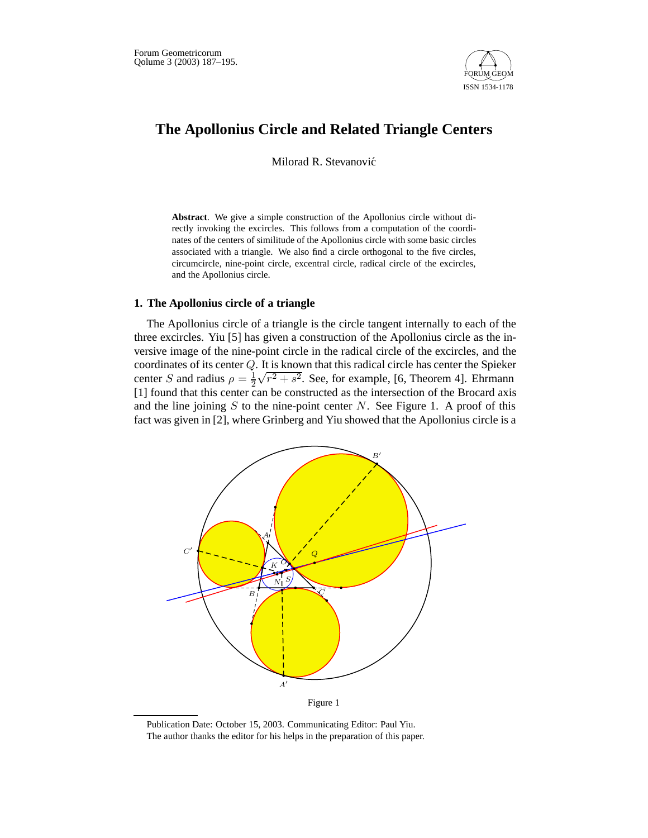

# **The Apollonius Circle and Related Triangle Centers**

Milorad R. Stevanović

**Abstract**. We give a simple construction of the Apollonius circle without directly invoking the excircles. This follows from a computation of the coordinates of the centers of similitude of the Apollonius circle with some basic circles associated with a triangle. We also find a circle orthogonal to the five circles, circumcircle, nine-point circle, excentral circle, radical circle of the excircles, and the Apollonius circle.

### **1. The Apollonius circle of a triangle**

The Apollonius circle of a triangle is the circle tangent internally to each of the three excircles. Yiu [5] has given a construction of the Apollonius circle as the inversive image of the nine-point circle in the radical circle of the excircles, and the coordinates of its center Q. It is known that this radical circle has center the Spieker center *S* and radius  $\rho = \frac{1}{2}$  $\sqrt{r^2 + s^2}$ . See, for example, [6, Theorem 4]. Ehrmann [1] found that this center can be constructed as the intersection of the Brocard axis and the line joining  $S$  to the nine-point center  $N$ . See Figure 1. A proof of this fact was given in [2], where Grinberg and Yiu showed that the Apollonius circle is a



Publication Date: October 15, 2003. Communicating Editor: Paul Yiu. The author thanks the editor for his helps in the preparation of this paper.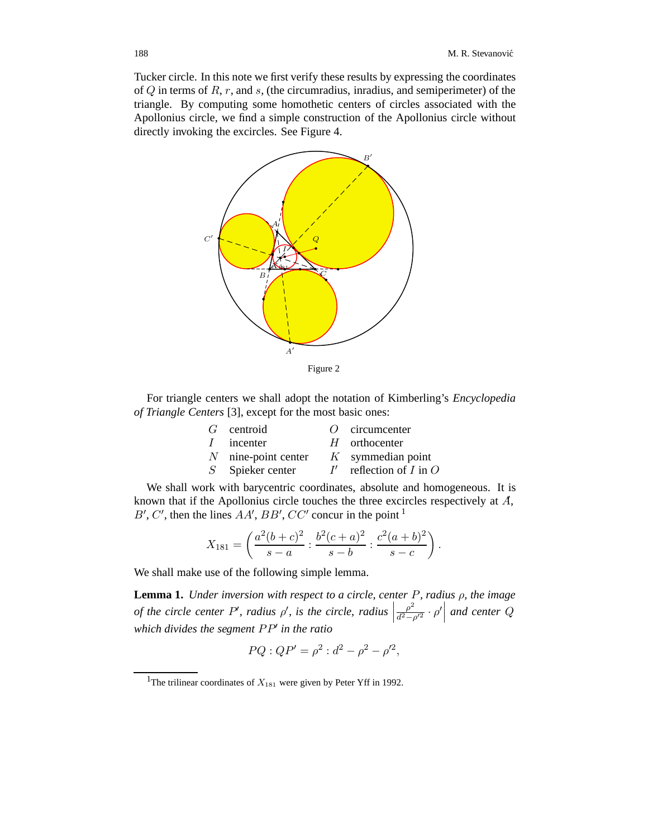Tucker circle. In this note we first verify these results by expressing the coordinates of  $Q$  in terms of  $R, r$ , and  $s$ , (the circumradius, inradius, and semiperimeter) of the triangle. By computing some homothetic centers of circles associated with the Apollonius circle, we find a simple construction of the Apollonius circle without directly invoking the excircles. See Figure 4.



For triangle centers we shall adopt the notation of Kimberling's *Encyclopedia of Triangle Centers* [3], except for the most basic ones:

|            | $G$ centroid          | $O$ circumcenter         |
|------------|-----------------------|--------------------------|
| $\sqrt{ }$ | incenter              | $H$ orthocenter          |
|            | $N$ nine-point center | $K$ symmedian point      |
|            | $S$ Spieker center    | reflection of $I$ in $O$ |

We shall work with barycentric coordinates, absolute and homogeneous. It is known that if the Apollonius circle touches the three excircles respectively at  $\vec{A}$ ,  $B'$ ,  $C'$ , then the lines  $AA'$ ,  $BB'$ ,  $CC'$  concur in the point  $1$ 

$$
X_{181} = \left(\frac{a^2(b+c)^2}{s-a} : \frac{b^2(c+a)^2}{s-b} : \frac{c^2(a+b)^2}{s-c}\right).
$$

We shall make use of the following simple lemma.

**Lemma 1.** *Under inversion with respect to a circle, center* P*, radius* ρ*, the image of the circle center P', radius*  $\rho'$ , *is the circle, radius*  $\Big|$  $\frac{\rho^2}{d^2-\rho'^2}\cdot\rho'$ *and center* Q *which divides the segment*  $PP'$  *in the ratio* 

$$
PQ: QP' = \rho^2: d^2 - \rho^2 - \rho'^2,
$$

<sup>&</sup>lt;sup>1</sup>The trilinear coordinates of  $X_{181}$  were given by Peter Yff in 1992.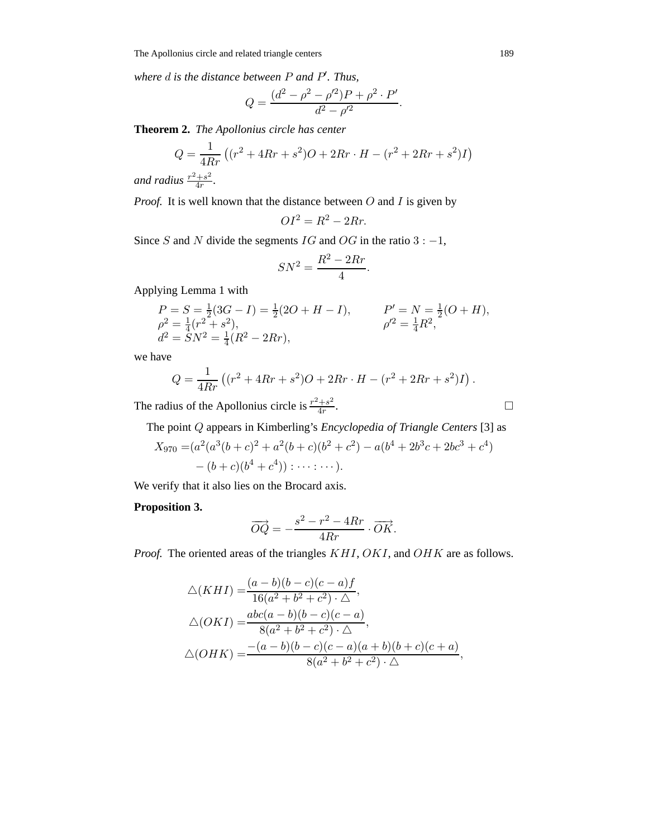*where* d *is the distance between* P *and* P *. Thus,*

$$
Q = \frac{(d^2 - \rho^2 - \rho'^2)P + \rho^2 \cdot P'}{d^2 - \rho'^2}.
$$

**Theorem 2.** *The Apollonius circle has center*

$$
Q = \frac{1}{4Rr} \left( (r^2 + 4Rr + s^2)O + 2Rr \cdot H - (r^2 + 2Rr + s^2)I \right)
$$

and radius  $\frac{r^2+s^2}{4r}$ .

*Proof.* It is well known that the distance between  $O$  and  $I$  is given by

$$
OI^2 = R^2 - 2Rr.
$$

Since S and N divide the segments  $IG$  and  $OG$  in the ratio  $3: -1$ ,

$$
SN^2 = \frac{R^2 - 2Rr}{4}.
$$

Applying Lemma 1 with

$$
P = S = \frac{1}{2}(3G - I) = \frac{1}{2}(2O + H - I),
$$
  
\n
$$
P' = N = \frac{1}{2}(O + H),
$$
  
\n
$$
\rho'^2 = \frac{1}{4}(P^2 + s^2),
$$
  
\n
$$
\rho'^2 = \frac{1}{4}R^2,
$$
  
\n
$$
\rho'^2 = \frac{1}{4}R^2,
$$

we have

$$
Q = \frac{1}{4Rr} ((r^2 + 4Rr + s^2)O + 2Rr \cdot H - (r^2 + 2Rr + s^2)I).
$$

The radius of the Apollonius circle is  $\frac{r^2+s^2}{4r}$ .

The point Q appears in Kimberling's *Encyclopedia of Triangle Centers* [3] as

$$
X_{970} = (a^2(a^3(b+c)^2 + a^2(b+c)(b^2+c^2) - a(b^4+2b^3c+2bc^3+c^4)- (b+c)(b^4+c^4)) : \cdots : \cdots).
$$

We verify that it also lies on the Brocard axis.

## **Proposition 3.**

$$
\overrightarrow{OQ} = -\frac{s^2 - r^2 - 4Rr}{4Rr} \cdot \overrightarrow{OK}.
$$

*Proof.* The oriented areas of the triangles  $KHI$ ,  $OKI$ , and  $OHK$  are as follows.

$$
\triangle(KHI) = \frac{(a-b)(b-c)(c-a)f}{16(a^2+b^2+c^2)\cdot \triangle},
$$
  
\n
$$
\triangle(OKI) = \frac{abc(a-b)(b-c)(c-a)}{8(a^2+b^2+c^2)\cdot \triangle},
$$
  
\n
$$
\triangle(OHK) = \frac{-(a-b)(b-c)(c-a)(a+b)(b+c)(c+a)}{8(a^2+b^2+c^2)\cdot \triangle},
$$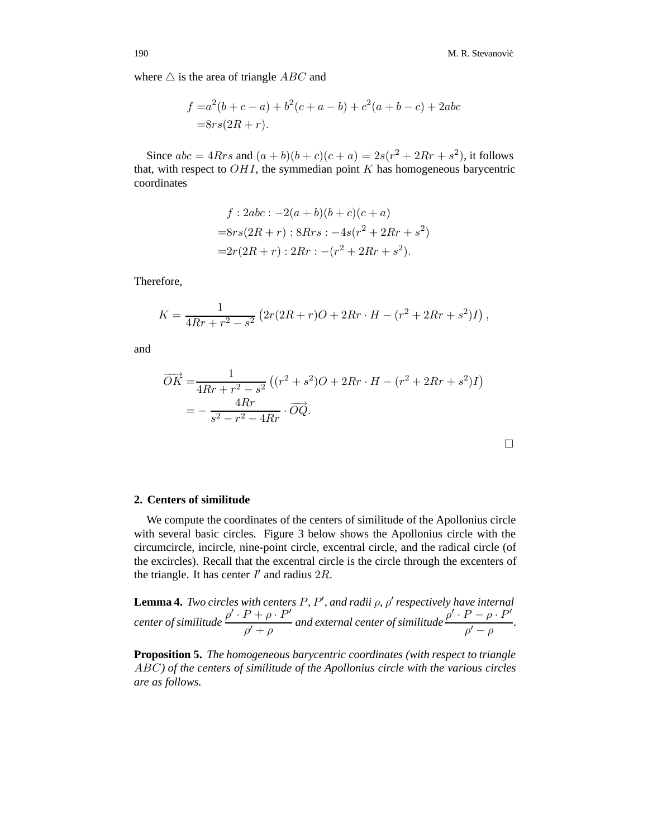where  $\triangle$  is the area of triangle ABC and

$$
f = a2(b + c - a) + b2(c + a - b) + c2(a + b - c) + 2abc
$$
  
= 8rs(2R + r).

Since  $abc = 4Rrs$  and  $(a + b)(b + c)(c + a) = 2s(r^2 + 2Rr + s^2)$ , it follows that, with respect to  $OHI$ , the symmedian point  $K$  has homogeneous barycentric coordinates

$$
f: 2abc : -2(a+b)(b+c)(c+a)
$$
  
=8rs(2R + r): 8Rrs : -4s(r<sup>2</sup> + 2Rr + s<sup>2</sup>)  
=2r(2R + r): 2Rr : -(r<sup>2</sup> + 2Rr + s<sup>2</sup>).

Therefore,

$$
K = \frac{1}{4Rr + r^2 - s^2} \left( 2r(2R + r)O + 2Rr \cdot H - (r^2 + 2Rr + s^2)I \right),
$$

and

$$
\overrightarrow{OK} = \frac{1}{4Rr + r^2 - s^2} \left( (r^2 + s^2)O + 2Rr \cdot H - (r^2 + 2Rr + s^2)I \right)
$$

$$
= -\frac{4Rr}{s^2 - r^2 - 4Rr} \cdot \overrightarrow{OQ}.
$$

#### **2. Centers of similitude**

We compute the coordinates of the centers of similitude of the Apollonius circle with several basic circles. Figure 3 below shows the Apollonius circle with the circumcircle, incircle, nine-point circle, excentral circle, and the radical circle (of the excircles). Recall that the excentral circle is the circle through the excenters of the triangle. It has center  $I'$  and radius  $2R$ .

**Lemma 4.** *Two circles with centers P, P', and radii ρ, ρ' respectively have internal center of similitude*  $\frac{\rho' \cdot P + \rho \cdot P'}{\rho' + \rho}$  and external center of similitude  $\frac{\rho' \cdot P - \rho \cdot P'}{\rho' - \rho}$  $\frac{\rho + \rho}{\rho' - \rho}$ .

**Proposition 5.** *The homogeneous barycentric coordinates (with respect to triangle* ABC*) of the centers of similitude of the Apollonius circle with the various circles are as follows.*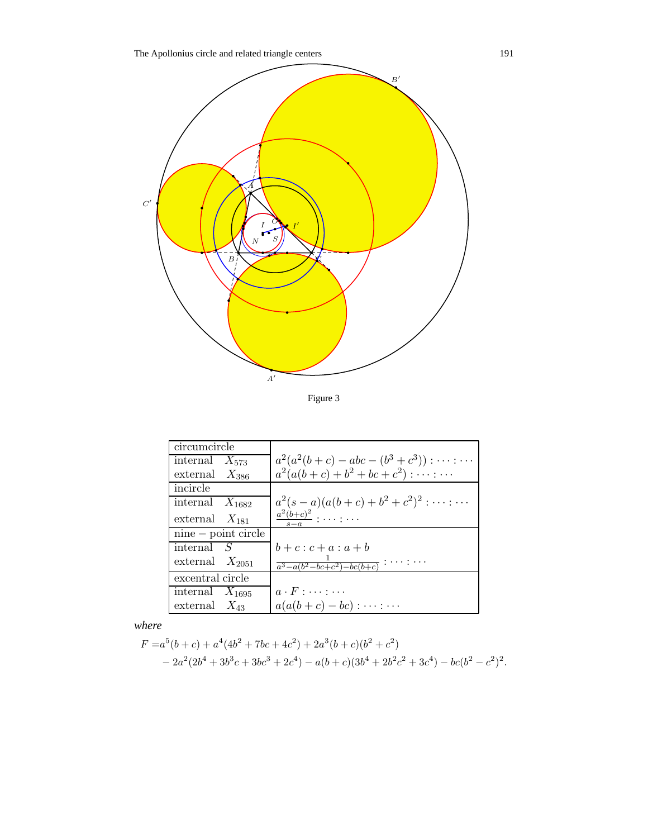

Figure 3

| circumcircle          |                                                     |
|-----------------------|-----------------------------------------------------|
| internal $X_{573}$    | $a^2(a^2(b+c) - abc - (b^3+c^3)) : \cdots : \cdots$ |
| external $X_{386}$    | $a^2(a(b+c)+b^2+bc+c^2): \cdots : \cdots$           |
| incircle              |                                                     |
| internal $X_{1682}$   | $a^2(s-a)(a(b+c)+b^2+c^2)^2:\cdots:\cdots$          |
| external $X_{181}$    | $\frac{a^2(b+c)^2}{2}$                              |
| $nine - point circle$ |                                                     |
| internal $S$          | $b+c:c+a:a+b$                                       |
| external $X_{2051}$   | $\frac{1}{a^3 - a(b^2 - bc + c^2) - bc(b+c)}$ :     |
| excentral circle      |                                                     |
| internal $X_{1695}$   | $a \cdot F : \cdots : \cdots$                       |
| external $X_{43}$     | $a(a(b+c)-bc) : \cdots : \cdots$                    |

*where*

$$
F = a^5(b+c) + a^4(4b^2 + 7bc + 4c^2) + 2a^3(b+c)(b^2 + c^2)
$$
  
- 2a<sup>2</sup>(2b<sup>4</sup> + 3b<sup>3</sup>c + 3bc<sup>3</sup> + 2c<sup>4</sup>) - a(b+c)(3b<sup>4</sup> + 2b<sup>2</sup>c<sup>2</sup> + 3c<sup>4</sup>) - bc(b<sup>2</sup> - c<sup>2</sup>)<sup>2</sup>.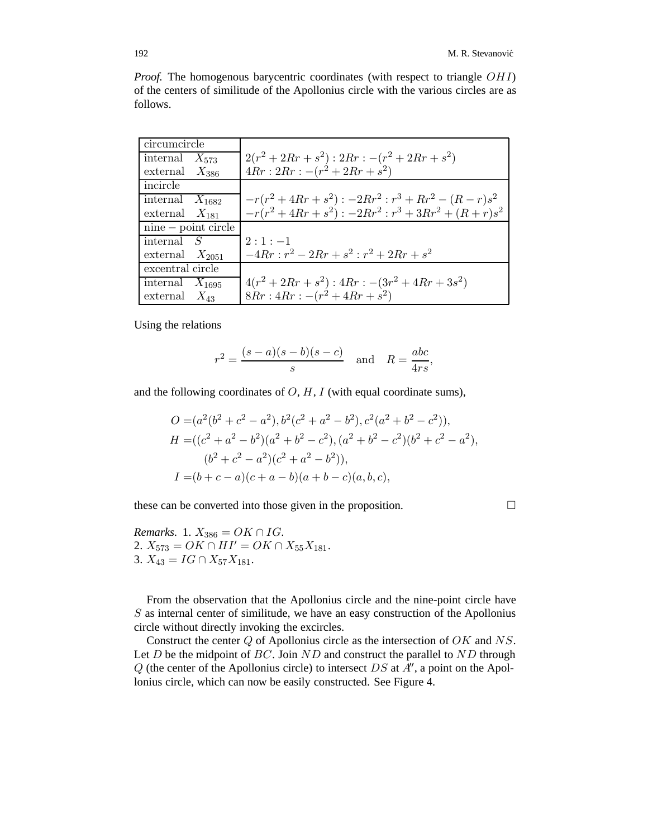*Proof.* The homogenous barycentric coordinates (with respect to triangle OHI) of the centers of similitude of the Apollonius circle with the various circles are as follows.

| circumcircle          |                                                |
|-----------------------|------------------------------------------------|
| internal $X_{573}$    | $2(r^2+2Rr+s^2):2Rr:-(r^2+2Rr+s^2)$            |
| external $X_{386}$    | $4Rr: 2Rr: -(r^2+2Rr+s^2)$                     |
| incircle              |                                                |
| internal $X_{1682}$   | $-r(r^2+4Rr+s^2):-2Rr^2:r^3+Rr^2-(R-r)s^2$     |
| external $X_{181}$    | $-r(r^2+4Rr+s^2):-2Rr^2:r^3+3Rr^2+(R+r)s^2$    |
| $nine - point circle$ |                                                |
| internal $S$          | $2 \cdot 1 \cdot -1$                           |
| external $X_{2051}$   | $-4Rr$ : $r^2 - 2Rr + s^2$ : $r^2 + 2Rr + s^2$ |
| excentral circle      |                                                |
| internal $X_{1695}$   | $4(r^2+2Rr+s^2): 4Rr: -(3r^2+4Rr+3s^2)$        |
| external $X_{43}$     | $8Rr: 4Rr: -(r^2+4Rr+s^2)$                     |

Using the relations

$$
r^2 = \frac{(s-a)(s-b)(s-c)}{s} \quad \text{and} \quad R = \frac{abc}{4rs},
$$

and the following coordinates of  $O, H, I$  (with equal coordinate sums),

$$
O = (a^{2}(b^{2} + c^{2} - a^{2}), b^{2}(c^{2} + a^{2} - b^{2}), c^{2}(a^{2} + b^{2} - c^{2})),
$$
  
\n
$$
H = ((c^{2} + a^{2} - b^{2})(a^{2} + b^{2} - c^{2}), (a^{2} + b^{2} - c^{2})(b^{2} + c^{2} - a^{2}),
$$
  
\n
$$
(b^{2} + c^{2} - a^{2})(c^{2} + a^{2} - b^{2})),
$$
  
\n
$$
I = (b + c - a)(c + a - b)(a + b - c)(a, b, c),
$$

these can be converted into those given in the proposition.

*Remarks.* 1.  $X_{386} = OK \cap IG$ . 2.  $X_{573} = OK \cap HI' = OK \cap X_{55}X_{181}.$ 3.  $X_{43} = IG \cap X_{57}X_{181}$ .

From the observation that the Apollonius circle and the nine-point circle have  $S$  as internal center of similitude, we have an easy construction of the Apollonius circle without directly invoking the excircles.

Construct the center Q of Apollonius circle as the intersection of OK and NS. Let  $D$  be the midpoint of  $BC$ . Join  $ND$  and construct the parallel to  $ND$  through  $Q$  (the center of the Apollonius circle) to intersect DS at  $A'$ , a point on the Apollonius circle, which can now be easily constructed. See Figure 4.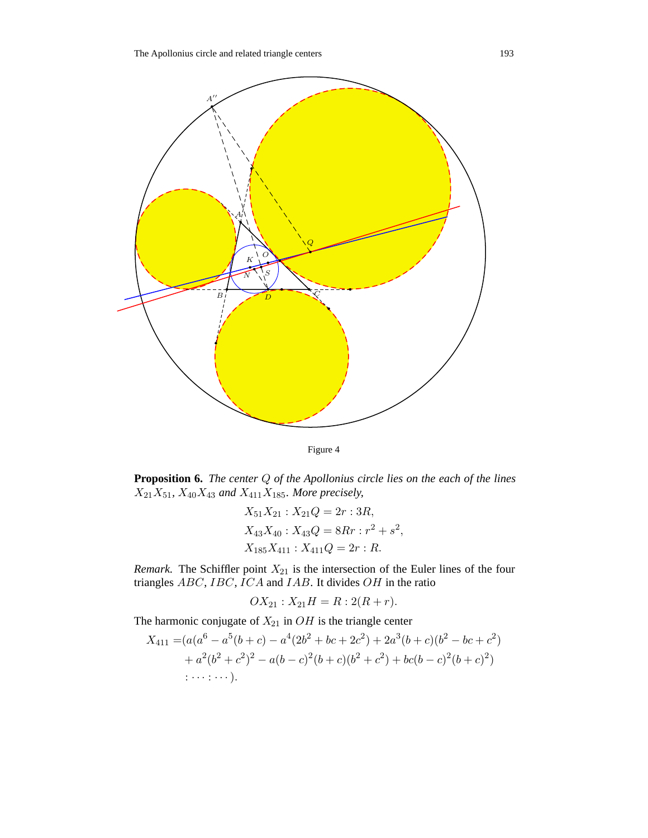



**Proposition 6.** *The center* Q *of the Apollonius circle lies on the each of the lines*  $X_{21}X_{51}$ ,  $X_{40}X_{43}$  and  $X_{411}X_{185}$ *. More precisely,* 

$$
X_{51}X_{21} : X_{21}Q = 2r : 3R,
$$
  
\n
$$
X_{43}X_{40} : X_{43}Q = 8Rr : r^2 + s^2,
$$
  
\n
$$
X_{185}X_{411} : X_{411}Q = 2r : R.
$$

*Remark.* The Schiffler point  $X_{21}$  is the intersection of the Euler lines of the four triangles  $ABC$ ,  $\overline{IC}$ ,  $\overline{IC}$  and  $IAB$ . It divides  $OH$  in the ratio

$$
OX_{21} : X_{21}H = R : 2(R + r).
$$

The harmonic conjugate of  $X_{21}$  in  $OH$  is the triangle center

$$
X_{411} = (a(a6 - a5(b + c) - a4(2b2 + bc + 2c2) + 2a3(b + c)(b2 - bc + c2) + a2(b2 + c2)2 - a(b - c)2(b + c)(b2 + c2) + bc(b - c)2(b + c)2) ......).
$$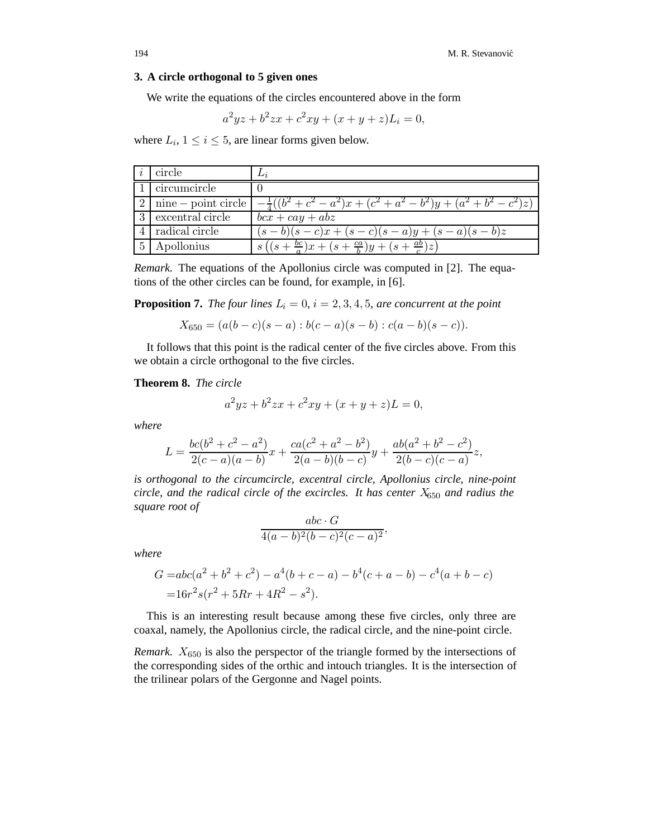#### **3. A circle orthogonal to 5 given ones**

We write the equations of the circles encountered above in the form

$$
a^2yz + b^2zx + c^2xy + (x + y + z)L_i = 0,
$$

where  $L_i$ ,  $1 \leq i \leq 5$ , are linear forms given below.

|                | circle           | Li <sub>2</sub>                                                                                   |
|----------------|------------------|---------------------------------------------------------------------------------------------------|
|                | circumcircle     |                                                                                                   |
|                |                  | 2   nine – point circle $\left[-\frac{1}{4}((b^2+c^2-a^2)x+(c^2+a^2-b^2)y+(a^2+b^2-c^2)z)\right]$ |
| $\cdot$ 3      | excentral circle | $bcx + cay + abz$                                                                                 |
| $\overline{4}$ | radical circle   | $(s-b)(s-c)x + (s-c)(s-a)y + (s-a)(s-b)z$                                                         |
|                | Apollonius       | $((s+\frac{bc}{a})x+(s+\frac{ca}{b})y+(s+\frac{ab}{c})z)$                                         |

*Remark.* The equations of the Apollonius circle was computed in [2]. The equations of the other circles can be found, for example, in [6].

**Proposition 7.** *The four lines*  $L_i = 0$ ,  $i = 2, 3, 4, 5$ , are concurrent at the point

$$
X_{650} = (a(b - c)(s - a) : b(c - a)(s - b) : c(a - b)(s - c)).
$$

It follows that this point is the radical center of the five circles above. From this we obtain a circle orthogonal to the five circles.

#### **Theorem 8.** *The circle*

$$
a^2yz + b^2zx + c^2xy + (x + y + z)L = 0,
$$

*where*

$$
L = \frac{bc(b^2 + c^2 - a^2)}{2(c - a)(a - b)}x + \frac{ca(c^2 + a^2 - b^2)}{2(a - b)(b - c)}y + \frac{ab(a^2 + b^2 - c^2)}{2(b - c)(c - a)}z,
$$

*is orthogonal to the circumcircle, excentral circle, Apollonius circle, nine-point circle, and the radical circle of the excircles. It has center* X<sup>650</sup> *and radius the square root of*

$$
\frac{abc \cdot G}{4(a-b)^2(b-c)^2(c-a)^2},
$$

*where*

$$
G = abc(a2 + b2 + c2) - a4(b + c - a) - b4(c + a - b) - c4(a + b - c)
$$
  
= 16r<sup>2</sup>s(r<sup>2</sup> + 5Rr + 4R<sup>2</sup> - s<sup>2</sup>).

This is an interesting result because among these five circles, only three are coaxal, namely, the Apollonius circle, the radical circle, and the nine-point circle.

*Remark.*  $X_{650}$  is also the perspector of the triangle formed by the intersections of the corresponding sides of the orthic and intouch triangles. It is the intersection of the trilinear polars of the Gergonne and Nagel points.